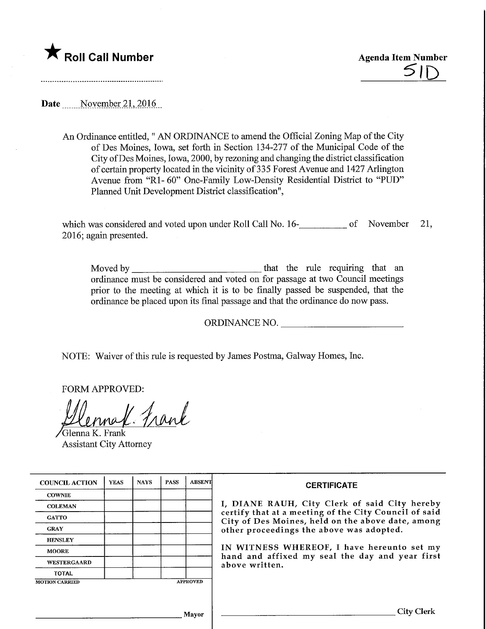

Date Movember 21, 2016

An Ordinance entitled," AN ORDINANCE to amend the Official Zoning Map of the City of Des Moines, Iowa, set forth in Section 134-277 of the Municipal Code of the City ofDes Moines, Iowa, 2000, by rezoning and changing the district classification of certain property located in the vicinity of 335 Forest Avenue and 1427 Arlington Avenue from "Rl- 60" One-Family Low-Density Residential District to "PUD" Planned Unit Development District classification",

which was considered and voted upon under Roll Call No. 16-<br>
<u>networks</u> of November 21, 2016; again presented.

Moved by that the rule requiring that an ordinance must be considered and voted on for passage at two Council meetings prior to the meeting at which it is to be finally passed be suspended, that the ordinance be placed upon its final passage and that the ordinance do now pass.

ORDINANCE NO.

NOTE: Waiver of this rule is requested by James Postma, Galway Homes, Inc.

FORM APPROVED:

ral Frank

/Glenna K. Frank Assistant City Attorney

| <b>COUNCIL ACTION</b>                    | <b>YEAS</b> | <b>NAYS</b> | <b>PASS</b> | <b>ABSENT</b> | <b>CERTIFICATE</b>                                                                                                                                                                                      |  |  |
|------------------------------------------|-------------|-------------|-------------|---------------|---------------------------------------------------------------------------------------------------------------------------------------------------------------------------------------------------------|--|--|
| <b>COWNIE</b>                            |             |             |             |               | I, DIANE RAUH, City Clerk of said City hereby<br>certify that at a meeting of the City Council of said<br>City of Des Moines, held on the above date, among<br>other proceedings the above was adopted. |  |  |
| <b>COLEMAN</b>                           |             |             |             |               |                                                                                                                                                                                                         |  |  |
| <b>GATTO</b>                             |             |             |             |               |                                                                                                                                                                                                         |  |  |
| <b>GRAY</b>                              |             |             |             |               |                                                                                                                                                                                                         |  |  |
| <b>HENSLEY</b>                           |             |             |             |               |                                                                                                                                                                                                         |  |  |
| <b>MOORE</b>                             |             |             |             |               | IN WITNESS WHEREOF, I have hereunto set my<br>hand and affixed my seal the day and year first<br>above written.                                                                                         |  |  |
| WESTERGAARD                              |             |             |             |               |                                                                                                                                                                                                         |  |  |
| <b>TOTAL</b>                             |             |             |             |               |                                                                                                                                                                                                         |  |  |
| <b>APPROVED</b><br><b>MOTION CARRIED</b> |             |             |             |               |                                                                                                                                                                                                         |  |  |
|                                          |             |             |             |               |                                                                                                                                                                                                         |  |  |
|                                          |             |             |             |               |                                                                                                                                                                                                         |  |  |
| Mayor                                    |             |             |             |               | City Clerk                                                                                                                                                                                              |  |  |